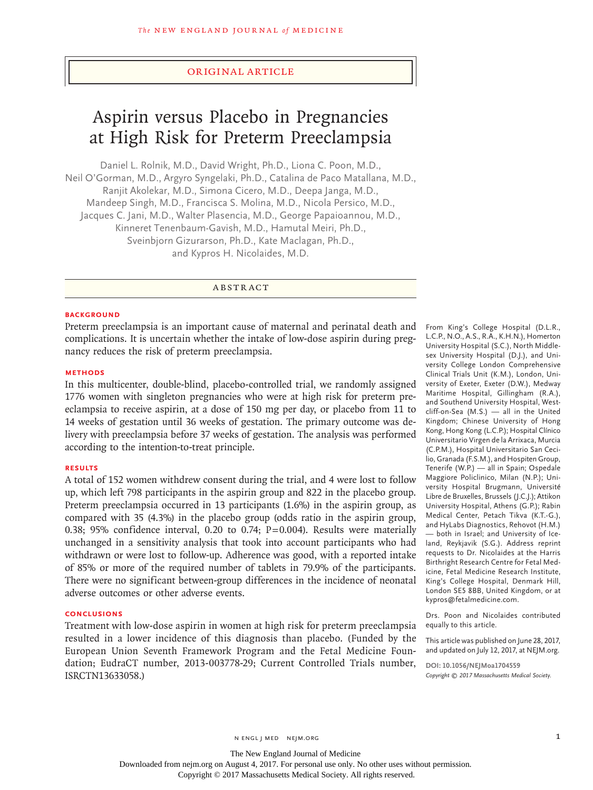## Original Article

# Aspirin versus Placebo in Pregnancies at High Risk for Preterm Preeclampsia

Daniel L. Rolnik, M.D., David Wright, Ph.D., Liona C. Poon, M.D., Neil O'Gorman, M.D., Argyro Syngelaki, Ph.D., Catalina de Paco Matallana, M.D., Ranjit Akolekar, M.D., Simona Cicero, M.D., Deepa Janga, M.D., Mandeep Singh, M.D., Francisca S. Molina, M.D., Nicola Persico, M.D., Jacques C. Jani, M.D., Walter Plasencia, M.D., George Papaioannou, M.D., Kinneret Tenenbaum-Gavish, M.D., Hamutal Meiri, Ph.D., Sveinbjorn Gizurarson, Ph.D., Kate Maclagan, Ph.D., and Kypros H. Nicolaides, M.D.

# ABSTRACT

#### **BACKGROUND**

Preterm preeclampsia is an important cause of maternal and perinatal death and complications. It is uncertain whether the intake of low-dose aspirin during pregnancy reduces the risk of preterm preeclampsia.

# **METHODS**

In this multicenter, double-blind, placebo-controlled trial, we randomly assigned 1776 women with singleton pregnancies who were at high risk for preterm preeclampsia to receive aspirin, at a dose of 150 mg per day, or placebo from 11 to 14 weeks of gestation until 36 weeks of gestation. The primary outcome was delivery with preeclampsia before 37 weeks of gestation. The analysis was performed according to the intention-to-treat principle.

#### **RESULTS**

A total of 152 women withdrew consent during the trial, and 4 were lost to follow up, which left 798 participants in the aspirin group and 822 in the placebo group. Preterm preeclampsia occurred in 13 participants (1.6%) in the aspirin group, as compared with 35 (4.3%) in the placebo group (odds ratio in the aspirin group, 0.38; 95% confidence interval, 0.20 to 0.74;  $P=0.004$ ). Results were materially unchanged in a sensitivity analysis that took into account participants who had withdrawn or were lost to follow-up. Adherence was good, with a reported intake of 85% or more of the required number of tablets in 79.9% of the participants. There were no significant between-group differences in the incidence of neonatal adverse outcomes or other adverse events.

## **CONCLUSIONS**

Treatment with low-dose aspirin in women at high risk for preterm preeclampsia resulted in a lower incidence of this diagnosis than placebo. (Funded by the European Union Seventh Framework Program and the Fetal Medicine Foundation; EudraCT number, 2013-003778-29; Current Controlled Trials number, ISRCTN13633058.)

From King's College Hospital (D.L.R., L.C.P., N.O., A.S., R.A., K.H.N.), Homerton University Hospital (S.C.), North Middlesex University Hospital (D.J.), and University College London Comprehensive Clinical Trials Unit (K.M.), London, University of Exeter, Exeter (D.W.), Medway Maritime Hospital, Gillingham (R.A.), and Southend University Hospital, Westcliff-on-Sea (M.S.) — all in the United Kingdom; Chinese University of Hong Kong, Hong Kong (L.C.P.); Hospital Clínico Universitario Virgen de la Arrixaca, Murcia (C.P.M.), Hospital Universitario San Cecilio, Granada (F.S.M.), and Hospiten Group, Tenerife (W.P.) — all in Spain; Ospedale Maggiore Policlinico, Milan (N.P.); University Hospital Brugmann, Université Libre de Bruxelles, Brussels (J.C.J.); Attikon University Hospital, Athens (G.P.); Rabin Medical Center, Petach Tikva (K.T.-G.), and HyLabs Diagnostics, Rehovot (H.M.) — both in Israel; and University of Iceland, Reykjavik (S.G.). Address reprint requests to Dr. Nicolaides at the Harris Birthright Research Centre for Fetal Medicine, Fetal Medicine Research Institute, King's College Hospital, Denmark Hill, London SE5 8BB, United Kingdom, or at kypros@fetalmedicine.com.

Drs. Poon and Nicolaides contributed equally to this article.

This article was published on June 28, 2017, and updated on July 12, 2017, at NEJM.org.

**DOI: 10.1056/NEJMoa1704559** *Copyright © 2017 Massachusetts Medical Society.*

n engl j med nejm.org 1

The New England Journal of Medicine Downloaded from nejm.org on August 4, 2017. For personal use only. No other uses without permission.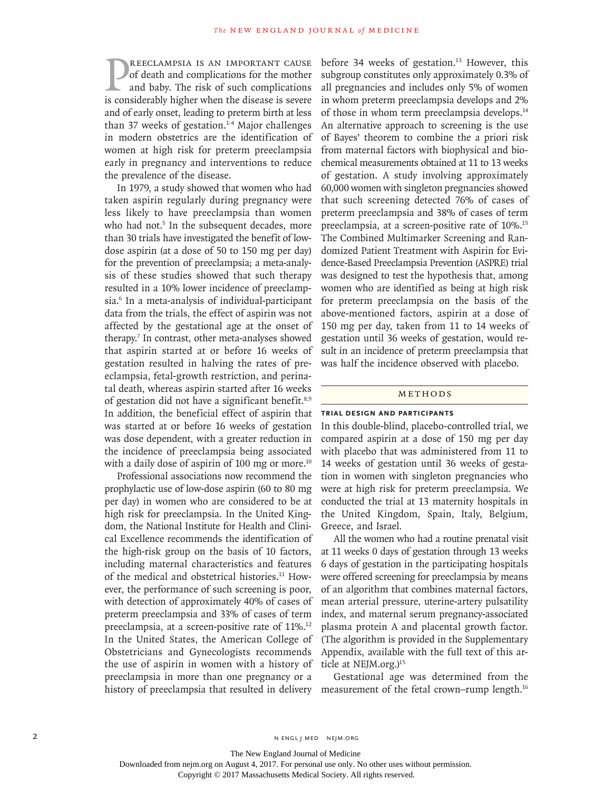**EXECLAMPSIA IS AN IMPORTANT CAUSE** of death and complications for the mother and baby. The risk of such complications is considerably higher when the disease is severe reeclampsia is an important cause of death and complications for the mother and baby. The risk of such complications and of early onset, leading to preterm birth at less than 37 weeks of gestation.<sup>1-4</sup> Major challenges in modern obstetrics are the identification of women at high risk for preterm preeclampsia early in pregnancy and interventions to reduce the prevalence of the disease.

In 1979, a study showed that women who had taken aspirin regularly during pregnancy were less likely to have preeclampsia than women who had not.<sup>5</sup> In the subsequent decades, more than 30 trials have investigated the benefit of lowdose aspirin (at a dose of 50 to 150 mg per day) for the prevention of preeclampsia; a meta-analysis of these studies showed that such therapy resulted in a 10% lower incidence of preeclampsia.6 In a meta-analysis of individual-participant data from the trials, the effect of aspirin was not affected by the gestational age at the onset of therapy.7 In contrast, other meta-analyses showed that aspirin started at or before 16 weeks of gestation resulted in halving the rates of preeclampsia, fetal-growth restriction, and perinatal death, whereas aspirin started after 16 weeks of gestation did not have a significant benefit.<sup>8,9</sup> In addition, the beneficial effect of aspirin that was started at or before 16 weeks of gestation was dose dependent, with a greater reduction in the incidence of preeclampsia being associated with a daily dose of aspirin of 100 mg or more. $10$ 

Professional associations now recommend the prophylactic use of low-dose aspirin (60 to 80 mg per day) in women who are considered to be at high risk for preeclampsia. In the United Kingdom, the National Institute for Health and Clinical Excellence recommends the identification of the high-risk group on the basis of 10 factors, including maternal characteristics and features of the medical and obstetrical histories.11 However, the performance of such screening is poor, with detection of approximately 40% of cases of preterm preeclampsia and 33% of cases of term preeclampsia, at a screen-positive rate of 11%.<sup>12</sup> In the United States, the American College of Obstetricians and Gynecologists recommends the use of aspirin in women with a history of preeclampsia in more than one pregnancy or a history of preeclampsia that resulted in delivery

before 34 weeks of gestation.<sup>13</sup> However, this subgroup constitutes only approximately 0.3% of all pregnancies and includes only 5% of women in whom preterm preeclampsia develops and 2% of those in whom term preeclampsia develops.14 An alternative approach to screening is the use of Bayes' theorem to combine the a priori risk from maternal factors with biophysical and biochemical measurements obtained at 11 to 13 weeks of gestation. A study involving approximately 60,000 women with singleton pregnancies showed that such screening detected 76% of cases of preterm preeclampsia and 38% of cases of term preeclampsia, at a screen-positive rate of 10%.<sup>15</sup> The Combined Multimarker Screening and Randomized Patient Treatment with Aspirin for Evidence-Based Preeclampsia Prevention (ASPRE) trial was designed to test the hypothesis that, among women who are identified as being at high risk for preterm preeclampsia on the basis of the above-mentioned factors, aspirin at a dose of 150 mg per day, taken from 11 to 14 weeks of gestation until 36 weeks of gestation, would result in an incidence of preterm preeclampsia that was half the incidence observed with placebo.

## Methods

## **Trial Design and Participants**

In this double-blind, placebo-controlled trial, we compared aspirin at a dose of 150 mg per day with placebo that was administered from 11 to 14 weeks of gestation until 36 weeks of gestation in women with singleton pregnancies who were at high risk for preterm preeclampsia. We conducted the trial at 13 maternity hospitals in the United Kingdom, Spain, Italy, Belgium, Greece, and Israel.

All the women who had a routine prenatal visit at 11 weeks 0 days of gestation through 13 weeks 6 days of gestation in the participating hospitals were offered screening for preeclampsia by means of an algorithm that combines maternal factors, mean arterial pressure, uterine-artery pulsatility index, and maternal serum pregnancy-associated plasma protein A and placental growth factor. (The algorithm is provided in the Supplementary Appendix, available with the full text of this article at NEJM.org.)<sup>15</sup>

Gestational age was determined from the measurement of the fetal crown–rump length.<sup>16</sup>

The New England Journal of Medicine

Downloaded from nejm.org on August 4, 2017. For personal use only. No other uses without permission.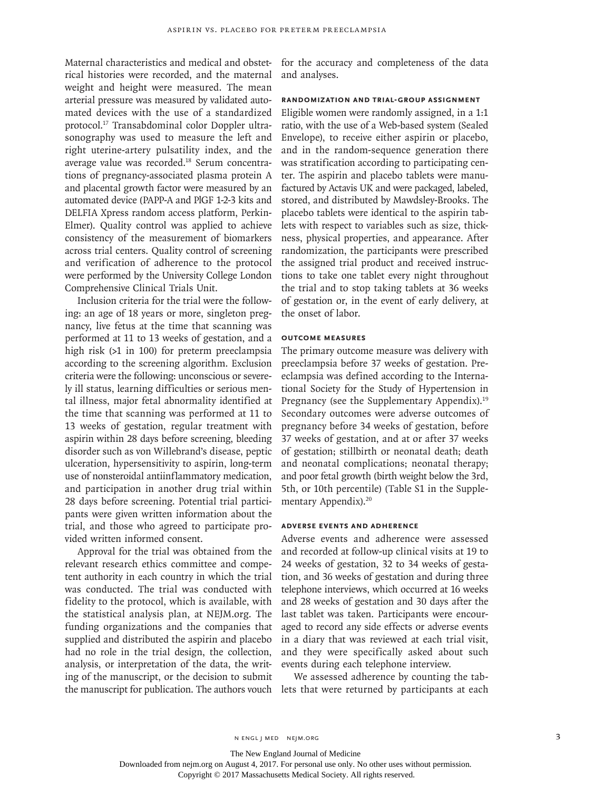Maternal characteristics and medical and obstetrical histories were recorded, and the maternal weight and height were measured. The mean arterial pressure was measured by validated automated devices with the use of a standardized protocol.17 Transabdominal color Doppler ultrasonography was used to measure the left and right uterine-artery pulsatility index, and the average value was recorded.18 Serum concentrations of pregnancy-associated plasma protein A and placental growth factor were measured by an automated device (PAPP-A and PlGF 1-2-3 kits and DELFIA Xpress random access platform, Perkin-Elmer). Quality control was applied to achieve consistency of the measurement of biomarkers across trial centers. Quality control of screening and verification of adherence to the protocol were performed by the University College London Comprehensive Clinical Trials Unit.

Inclusion criteria for the trial were the following: an age of 18 years or more, singleton pregnancy, live fetus at the time that scanning was performed at 11 to 13 weeks of gestation, and a high risk (>1 in 100) for preterm preeclampsia according to the screening algorithm. Exclusion criteria were the following: unconscious or severely ill status, learning difficulties or serious mental illness, major fetal abnormality identified at the time that scanning was performed at 11 to 13 weeks of gestation, regular treatment with aspirin within 28 days before screening, bleeding disorder such as von Willebrand's disease, peptic ulceration, hypersensitivity to aspirin, long-term use of nonsteroidal antiinflammatory medication, and participation in another drug trial within 28 days before screening. Potential trial participants were given written information about the trial, and those who agreed to participate provided written informed consent.

Approval for the trial was obtained from the relevant research ethics committee and competent authority in each country in which the trial was conducted. The trial was conducted with fidelity to the protocol, which is available, with the statistical analysis plan, at NEJM.org. The funding organizations and the companies that supplied and distributed the aspirin and placebo had no role in the trial design, the collection, analysis, or interpretation of the data, the writing of the manuscript, or the decision to submit the manuscript for publication. The authors vouch lets that were returned by participants at each

for the accuracy and completeness of the data and analyses.

## **Randomization and Trial-Group Assignment**

Eligible women were randomly assigned, in a 1:1 ratio, with the use of a Web-based system (Sealed Envelope), to receive either aspirin or placebo, and in the random-sequence generation there was stratification according to participating center. The aspirin and placebo tablets were manufactured by Actavis UK and were packaged, labeled, stored, and distributed by Mawdsley-Brooks. The placebo tablets were identical to the aspirin tablets with respect to variables such as size, thickness, physical properties, and appearance. After randomization, the participants were prescribed the assigned trial product and received instructions to take one tablet every night throughout the trial and to stop taking tablets at 36 weeks of gestation or, in the event of early delivery, at the onset of labor.

## **Outcome Measures**

The primary outcome measure was delivery with preeclampsia before 37 weeks of gestation. Preeclampsia was defined according to the International Society for the Study of Hypertension in Pregnancy (see the Supplementary Appendix).<sup>19</sup> Secondary outcomes were adverse outcomes of pregnancy before 34 weeks of gestation, before 37 weeks of gestation, and at or after 37 weeks of gestation; stillbirth or neonatal death; death and neonatal complications; neonatal therapy; and poor fetal growth (birth weight below the 3rd, 5th, or 10th percentile) (Table S1 in the Supplementary Appendix).20

#### **Adverse Events and Adherence**

Adverse events and adherence were assessed and recorded at follow-up clinical visits at 19 to 24 weeks of gestation, 32 to 34 weeks of gestation, and 36 weeks of gestation and during three telephone interviews, which occurred at 16 weeks and 28 weeks of gestation and 30 days after the last tablet was taken. Participants were encouraged to record any side effects or adverse events in a diary that was reviewed at each trial visit, and they were specifically asked about such events during each telephone interview.

We assessed adherence by counting the tab-

The New England Journal of Medicine

Downloaded from nejm.org on August 4, 2017. For personal use only. No other uses without permission.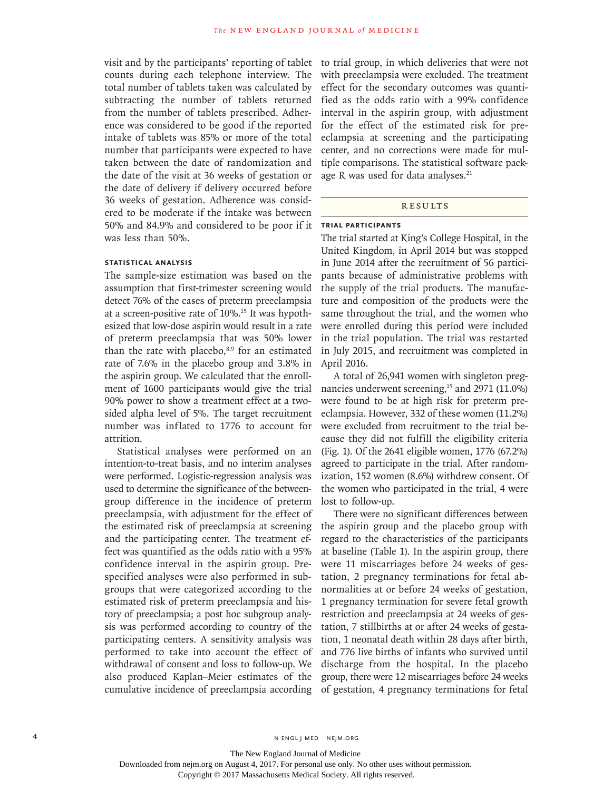visit and by the participants' reporting of tablet counts during each telephone interview. The total number of tablets taken was calculated by subtracting the number of tablets returned from the number of tablets prescribed. Adherence was considered to be good if the reported intake of tablets was 85% or more of the total number that participants were expected to have taken between the date of randomization and the date of the visit at 36 weeks of gestation or the date of delivery if delivery occurred before 36 weeks of gestation. Adherence was considered to be moderate if the intake was between 50% and 84.9% and considered to be poor if it was less than 50%.

## **Statistical Analysis**

The sample-size estimation was based on the assumption that first-trimester screening would detect 76% of the cases of preterm preeclampsia at a screen-positive rate of 10%.15 It was hypothesized that low-dose aspirin would result in a rate of preterm preeclampsia that was 50% lower than the rate with placebo, $8,9$  for an estimated rate of 7.6% in the placebo group and 3.8% in the aspirin group. We calculated that the enrollment of 1600 participants would give the trial 90% power to show a treatment effect at a twosided alpha level of 5%. The target recruitment number was inflated to 1776 to account for attrition.

Statistical analyses were performed on an intention-to-treat basis, and no interim analyses were performed. Logistic-regression analysis was used to determine the significance of the betweengroup difference in the incidence of preterm preeclampsia, with adjustment for the effect of the estimated risk of preeclampsia at screening and the participating center. The treatment effect was quantified as the odds ratio with a 95% confidence interval in the aspirin group. Prespecified analyses were also performed in subgroups that were categorized according to the estimated risk of preterm preeclampsia and history of preeclampsia; a post hoc subgroup analysis was performed according to country of the participating centers. A sensitivity analysis was performed to take into account the effect of withdrawal of consent and loss to follow-up. We also produced Kaplan–Meier estimates of the cumulative incidence of preeclampsia according to trial group, in which deliveries that were not with preeclampsia were excluded. The treatment effect for the secondary outcomes was quantified as the odds ratio with a 99% confidence interval in the aspirin group, with adjustment for the effect of the estimated risk for preeclampsia at screening and the participating center, and no corrections were made for multiple comparisons. The statistical software package R was used for data analyses.<sup>21</sup>

# **RESULTS**

#### **Trial Participants**

The trial started at King's College Hospital, in the United Kingdom, in April 2014 but was stopped in June 2014 after the recruitment of 56 participants because of administrative problems with the supply of the trial products. The manufacture and composition of the products were the same throughout the trial, and the women who were enrolled during this period were included in the trial population. The trial was restarted in July 2015, and recruitment was completed in April 2016.

A total of 26,941 women with singleton pregnancies underwent screening,<sup>15</sup> and 2971 (11.0%) were found to be at high risk for preterm preeclampsia. However, 332 of these women (11.2%) were excluded from recruitment to the trial because they did not fulfill the eligibility criteria (Fig. 1). Of the 2641 eligible women, 1776 (67.2%) agreed to participate in the trial. After randomization, 152 women (8.6%) withdrew consent. Of the women who participated in the trial, 4 were lost to follow-up.

There were no significant differences between the aspirin group and the placebo group with regard to the characteristics of the participants at baseline (Table 1). In the aspirin group, there were 11 miscarriages before 24 weeks of gestation, 2 pregnancy terminations for fetal abnormalities at or before 24 weeks of gestation, 1 pregnancy termination for severe fetal growth restriction and preeclampsia at 24 weeks of gestation, 7 stillbirths at or after 24 weeks of gestation, 1 neonatal death within 28 days after birth, and 776 live births of infants who survived until discharge from the hospital. In the placebo group, there were 12 miscarriages before 24 weeks of gestation, 4 pregnancy terminations for fetal

The New England Journal of Medicine

Downloaded from nejm.org on August 4, 2017. For personal use only. No other uses without permission.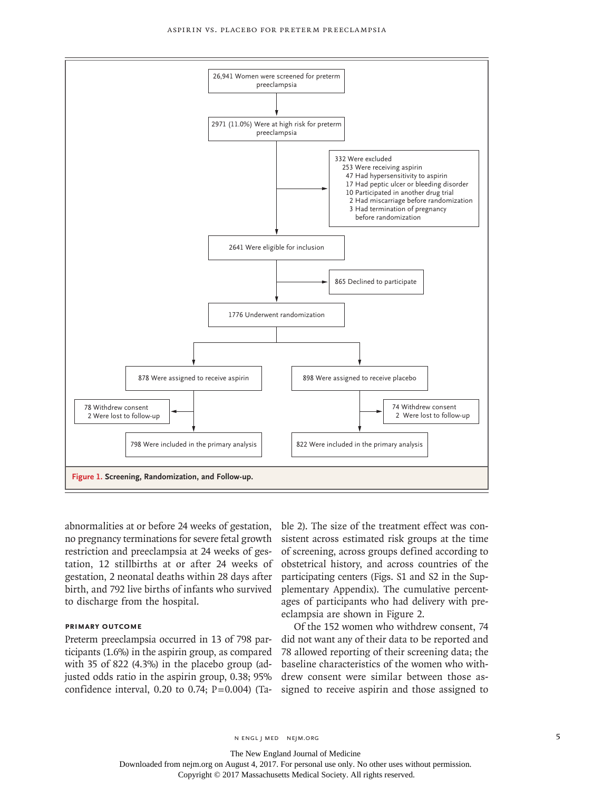#### Aspirin vs. Placebo for Preterm Preeclampsia



abnormalities at or before 24 weeks of gestation, no pregnancy terminations for severe fetal growth restriction and preeclampsia at 24 weeks of gestation, 12 stillbirths at or after 24 weeks of gestation, 2 neonatal deaths within 28 days after birth, and 792 live births of infants who survived to discharge from the hospital.

## **Primary Outcome**

Preterm preeclampsia occurred in 13 of 798 participants (1.6%) in the aspirin group, as compared with 35 of 822 (4.3%) in the placebo group (adjusted odds ratio in the aspirin group, 0.38; 95% confidence interval, 0.20 to 0.74;  $P=0.004$ ) (Table 2). The size of the treatment effect was consistent across estimated risk groups at the time of screening, across groups defined according to obstetrical history, and across countries of the participating centers (Figs. S1 and S2 in the Supplementary Appendix). The cumulative percentages of participants who had delivery with preeclampsia are shown in Figure 2.

Of the 152 women who withdrew consent, 74 did not want any of their data to be reported and 78 allowed reporting of their screening data; the baseline characteristics of the women who withdrew consent were similar between those assigned to receive aspirin and those assigned to

n engl j med nejm.org 5

The New England Journal of Medicine

Downloaded from nejm.org on August 4, 2017. For personal use only. No other uses without permission.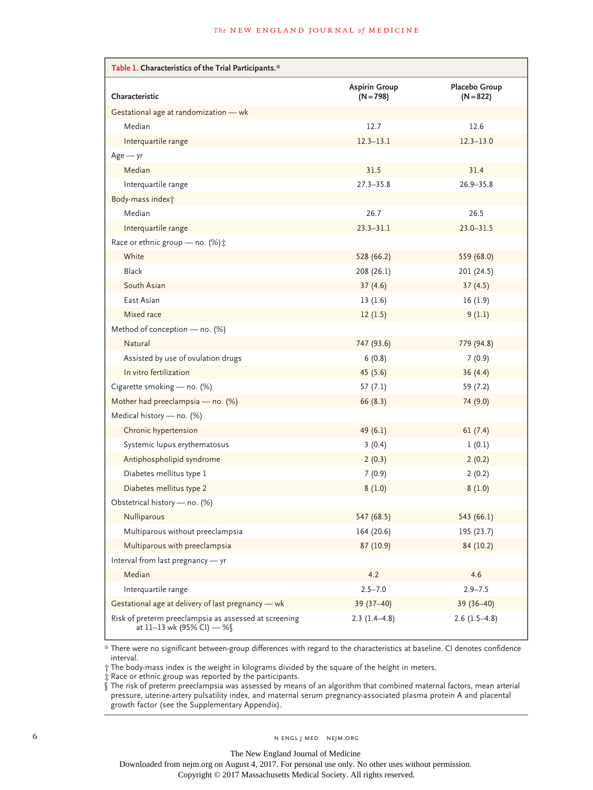| Table 1. Characteristics of the Trial Participants.*                               |                                     |                              |
|------------------------------------------------------------------------------------|-------------------------------------|------------------------------|
| Characteristic                                                                     | <b>Aspirin Group</b><br>$(N = 798)$ | Placebo Group<br>$(N = 822)$ |
| Gestational age at randomization - wk                                              |                                     |                              |
| Median                                                                             | 12.7                                | 12.6                         |
| Interquartile range                                                                | $12.3 - 13.1$                       | $12.3 - 13.0$                |
| $Age - yr$                                                                         |                                     |                              |
| Median                                                                             | 31.5                                | 31.4                         |
| Interquartile range                                                                | $27.3 - 35.8$                       | $26.9 - 35.8$                |
| Body-mass index <sup>+</sup>                                                       |                                     |                              |
| Median                                                                             | 26.7                                | 26.5                         |
| Interquartile range                                                                | $23.3 - 31.1$                       | $23.0 - 31.5$                |
| Race or ethnic group - no. (%) :                                                   |                                     |                              |
| White                                                                              | 528 (66.2)                          | 559 (68.0)                   |
| <b>Black</b>                                                                       | 208 (26.1)                          | 201 (24.5)                   |
| South Asian                                                                        | 37(4.6)                             | 37(4.5)                      |
| East Asian                                                                         | 13(1.6)                             | 16(1.9)                      |
| Mixed race                                                                         | 12(1.5)                             | 9(1.1)                       |
| Method of conception - no. (%)                                                     |                                     |                              |
| Natural                                                                            | 747 (93.6)                          | 779 (94.8)                   |
| Assisted by use of ovulation drugs                                                 | 6(0.8)                              | 7(0.9)                       |
| In vitro fertilization                                                             | 45(5.6)                             | 36(4.4)                      |
| Cigarette smoking - no. (%)                                                        | 57(7.1)                             | 59 (7.2)                     |
| Mother had preeclampsia - no. (%)                                                  | 66(8.3)                             | 74 (9.0)                     |
| Medical history - no. (%)                                                          |                                     |                              |
| Chronic hypertension                                                               | 49(6.1)                             | 61(7.4)                      |
| Systemic lupus erythematosus                                                       | 3(0.4)                              | 1(0.1)                       |
| Antiphospholipid syndrome                                                          | 2(0.3)                              | 2(0.2)                       |
| Diabetes mellitus type 1                                                           | 7(0.9)                              | 2(0.2)                       |
| Diabetes mellitus type 2                                                           | 8(1.0)                              | 8(1.0)                       |
| Obstetrical history - no. (%)                                                      |                                     |                              |
| Nulliparous                                                                        | 547 (68.5)                          | 543 (66.1)                   |
| Multiparous without preeclampsia                                                   | 164 (20.6)                          | 195 (23.7)                   |
| Multiparous with preeclampsia                                                      | 87 (10.9)                           | 84 (10.2)                    |
| Interval from last pregnancy - yr                                                  |                                     |                              |
| Median                                                                             | 4.2                                 | 4.6                          |
| Interquartile range                                                                | $2.5 - 7.0$                         | $2.9 - 7.5$                  |
| Gestational age at delivery of last pregnancy - wk                                 | 39 (37-40)                          | $39(36-40)$                  |
| Risk of preterm preeclampsia as assessed at screening<br>at 11-13 wk (95% CI) — %§ | $2.3(1.4-4.8)$                      | $2.6(1.5-4.8)$               |

\* There were no significant between-group differences with regard to the characteristics at baseline. CI denotes confidence interval.

† The body-mass index is the weight in kilograms divided by the square of the height in meters.

‡ Race or ethnic group was reported by the participants.

§ The risk of preterm preeclampsia was assessed by means of an algorithm that combined maternal factors, mean arterial pressure, uterine-artery pulsatility index, and maternal serum pregnancy-associated plasma protein A and placental growth factor (see the Supplementary Appendix).

The New England Journal of Medicine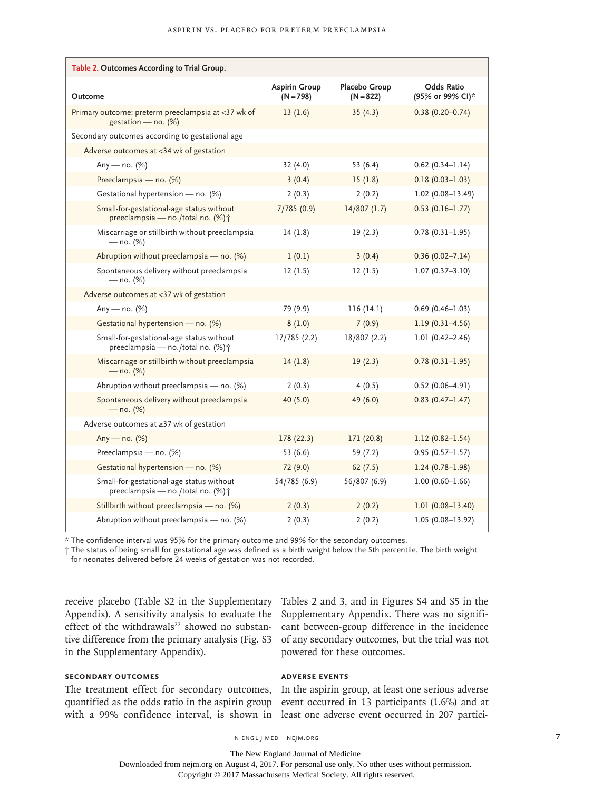| Table 2. Outcomes According to Trial Group.                                    |                                     |                              |                                       |
|--------------------------------------------------------------------------------|-------------------------------------|------------------------------|---------------------------------------|
| Outcome                                                                        | <b>Aspirin Group</b><br>$(N = 798)$ | Placebo Group<br>$(N = 822)$ | <b>Odds Ratio</b><br>(95% or 99% CI)* |
| Primary outcome: preterm preeclampsia at <37 wk of<br>gestation - no. (%)      | 13(1.6)                             | 35(4.3)                      | $0.38(0.20 - 0.74)$                   |
| Secondary outcomes according to gestational age                                |                                     |                              |                                       |
| Adverse outcomes at <34 wk of gestation                                        |                                     |                              |                                       |
| Any — no. $(%)$                                                                | 32 (4.0)                            | 53 (6.4)                     | $0.62$ (0.34-1.14)                    |
| Preeclampsia - no. (%)                                                         | 3(0.4)                              | 15(1.8)                      | $0.18(0.03 - 1.03)$                   |
| Gestational hypertension - no. (%)                                             | 2(0.3)                              | 2(0.2)                       | $1.02(0.08 - 13.49)$                  |
| Small-for-gestational-age status without<br>preeclampsia - no./total no. (%) + | 7/785(0.9)                          | 14/807(1.7)                  | $0.53(0.16 - 1.77)$                   |
| Miscarriage or stillbirth without preeclampsia<br>$-$ no. (%)                  | 14(1.8)                             | 19(2.3)                      | $0.78(0.31 - 1.95)$                   |
| Abruption without preeclampsia - no. (%)                                       | 1(0.1)                              | 3(0.4)                       | $0.36(0.02 - 7.14)$                   |
| Spontaneous delivery without preeclampsia<br>$-$ no. (%)                       | 12(1.5)                             | 12(1.5)                      | $1.07(0.37 - 3.10)$                   |
| Adverse outcomes at <37 wk of gestation                                        |                                     |                              |                                       |
| Any — no. $(%)$                                                                | 79 (9.9)                            | 116(14.1)                    | $0.69(0.46 - 1.03)$                   |
| Gestational hypertension - no. (%)                                             | 8(1.0)                              | 7(0.9)                       | $1.19(0.31 - 4.56)$                   |
| Small-for-gestational-age status without<br>preeclampsia - no./total no. (%) + | 17/785 (2.2)                        | 18/807 (2.2)                 | $1.01(0.42 - 2.46)$                   |
| Miscarriage or stillbirth without preeclampsia<br>$-$ no. (%)                  | 14(1.8)                             | 19(2.3)                      | $0.78(0.31-1.95)$                     |
| Abruption without preeclampsia - no. (%)                                       | 2(0.3)                              | 4(0.5)                       | $0.52(0.06 - 4.91)$                   |
| Spontaneous delivery without preeclampsia<br>$-$ no. (%)                       | 40 (5.0)                            | 49 (6.0)                     | $0.83(0.47 - 1.47)$                   |
| Adverse outcomes at ≥37 wk of gestation                                        |                                     |                              |                                       |
| Any — no. $(%)$                                                                | 178 (22.3)                          | 171 (20.8)                   | $1.12(0.82 - 1.54)$                   |
| Preeclampsia - no. (%)                                                         | 53 (6.6)                            | 59 (7.2)                     | $0.95(0.57 - 1.57)$                   |
| Gestational hypertension - no. (%)                                             | 72 (9.0)                            | 62(7.5)                      | $1.24(0.78 - 1.98)$                   |
| Small-for-gestational-age status without<br>preeclampsia - no./total no. (%) + | 54/785 (6.9)                        | 56/807 (6.9)                 | $1.00(0.60 - 1.66)$                   |
| Stillbirth without preeclampsia - no. (%)                                      | 2(0.3)                              | 2(0.2)                       | $1.01(0.08 - 13.40)$                  |
| Abruption without preeclampsia - no. (%)                                       | 2(0.3)                              | 2(0.2)                       | $1.05(0.08 - 13.92)$                  |

\* The confidence interval was 95% for the primary outcome and 99% for the secondary outcomes.

† The status of being small for gestational age was defined as a birth weight below the 5th percentile. The birth weight for neonates delivered before 24 weeks of gestation was not recorded.

receive placebo (Table S2 in the Supplementary Tables 2 and 3, and in Figures S4 and S5 in the Appendix). A sensitivity analysis to evaluate the Supplementary Appendix. There was no signifieffect of the withdrawals<sup>22</sup> showed no substantive difference from the primary analysis (Fig. S3 in the Supplementary Appendix).

**Secondary Outcomes**

The treatment effect for secondary outcomes, In the aspirin group, at least one serious adverse quantified as the odds ratio in the aspirin group event occurred in 13 participants (1.6%) and at with a 99% confidence interval, is shown in least one adverse event occurred in 207 partici-

cant between-group difference in the incidence of any secondary outcomes, but the trial was not powered for these outcomes.

## **Adverse Events**

The New England Journal of Medicine

Downloaded from nejm.org on August 4, 2017. For personal use only. No other uses without permission.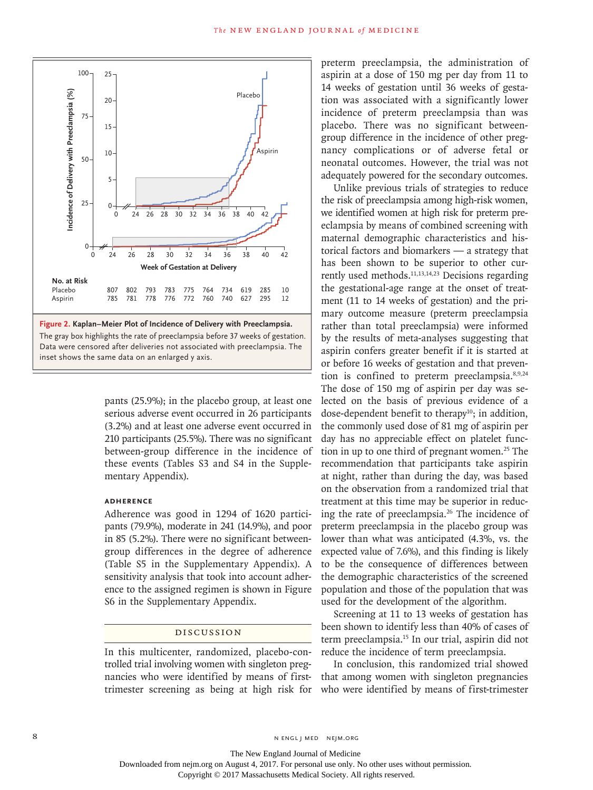

The gray box highlights the rate of preeclampsia before 37 weeks of gestation. Data were censored after deliveries not associated with preeclampsia. The

> pants (25.9%); in the placebo group, at least one serious adverse event occurred in 26 participants (3.2%) and at least one adverse event occurred in 210 participants (25.5%). There was no significant between-group difference in the incidence of these events (Tables S3 and S4 in the Supplementary Appendix).

## **Adherence**

Adherence was good in 1294 of 1620 participants (79.9%), moderate in 241 (14.9%), and poor in 85 (5.2%). There were no significant betweengroup differences in the degree of adherence (Table S5 in the Supplementary Appendix). A sensitivity analysis that took into account adherence to the assigned regimen is shown in Figure S6 in the Supplementary Appendix.

#### Discussion

In this multicenter, randomized, placebo-controlled trial involving women with singleton pregnancies who were identified by means of firsttrimester screening as being at high risk for preterm preeclampsia, the administration of aspirin at a dose of 150 mg per day from 11 to 14 weeks of gestation until 36 weeks of gestation was associated with a significantly lower incidence of preterm preeclampsia than was placebo. There was no significant betweengroup difference in the incidence of other pregnancy complications or of adverse fetal or neonatal outcomes. However, the trial was not adequately powered for the secondary outcomes.

Unlike previous trials of strategies to reduce the risk of preeclampsia among high-risk women, we identified women at high risk for preterm preeclampsia by means of combined screening with maternal demographic characteristics and historical factors and biomarkers — a strategy that has been shown to be superior to other currently used methods.11,13,14,23 Decisions regarding the gestational-age range at the onset of treatment (11 to 14 weeks of gestation) and the primary outcome measure (preterm preeclampsia rather than total preeclampsia) were informed by the results of meta-analyses suggesting that aspirin confers greater benefit if it is started at or before 16 weeks of gestation and that prevention is confined to preterm preeclampsia.8,9,24 The dose of 150 mg of aspirin per day was selected on the basis of previous evidence of a dose-dependent benefit to therapy $10$ ; in addition, the commonly used dose of 81 mg of aspirin per day has no appreciable effect on platelet function in up to one third of pregnant women.<sup>25</sup> The recommendation that participants take aspirin at night, rather than during the day, was based on the observation from a randomized trial that treatment at this time may be superior in reducing the rate of preeclampsia.26 The incidence of preterm preeclampsia in the placebo group was lower than what was anticipated (4.3%, vs. the expected value of 7.6%), and this finding is likely to be the consequence of differences between the demographic characteristics of the screened population and those of the population that was used for the development of the algorithm.

Screening at 11 to 13 weeks of gestation has been shown to identify less than 40% of cases of term preeclampsia.15 In our trial, aspirin did not reduce the incidence of term preeclampsia.

In conclusion, this randomized trial showed that among women with singleton pregnancies who were identified by means of first-trimester

8 N ENGL J MED NEJM.ORG

Downloaded from nejm.org on August 4, 2017. For personal use only. No other uses without permission.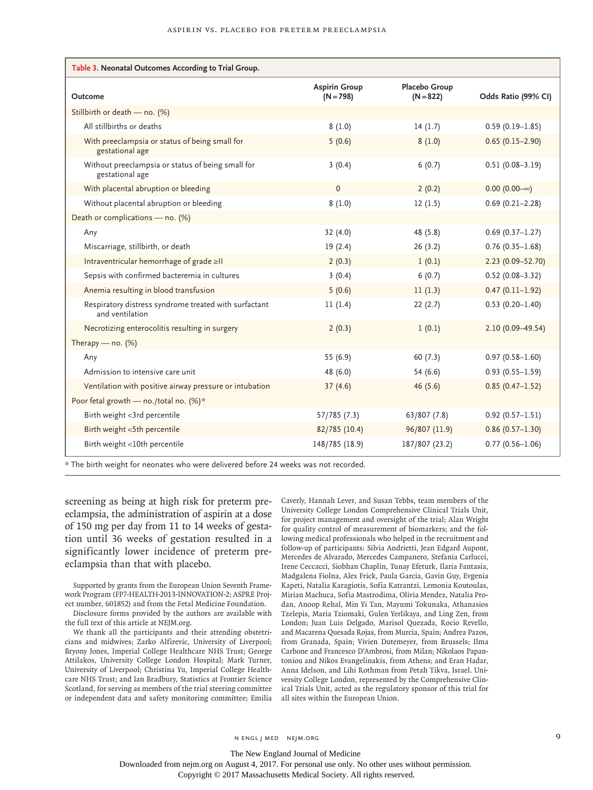| Table 3. Neonatal Outcomes According to Trial Group.                     |                                     |                              |                      |
|--------------------------------------------------------------------------|-------------------------------------|------------------------------|----------------------|
| Outcome                                                                  | <b>Aspirin Group</b><br>$(N = 798)$ | Placebo Group<br>$(N = 822)$ | Odds Ratio (99% CI)  |
| Stillbirth or death - no. (%)                                            |                                     |                              |                      |
| All stillbirths or deaths                                                | 8(1.0)                              | 14(1.7)                      | $0.59(0.19 - 1.85)$  |
| With preeclampsia or status of being small for<br>gestational age        | 5(0.6)                              | 8(1.0)                       | $0.65(0.15-2.90)$    |
| Without preeclampsia or status of being small for<br>gestational age     | 3(0.4)                              | 6(0.7)                       | $0.51(0.08 - 3.19)$  |
| With placental abruption or bleeding                                     | $\mathbf{0}$                        | 2(0.2)                       | $0.00(0.00-\infty)$  |
| Without placental abruption or bleeding                                  | 8(1.0)                              | 12(1.5)                      | $0.69(0.21 - 2.28)$  |
| Death or complications - no. $(\%)$                                      |                                     |                              |                      |
| Any                                                                      | 32(4.0)                             | 48 (5.8)                     | $0.69(0.37 - 1.27)$  |
| Miscarriage, stillbirth, or death                                        | 19(2.4)                             | 26(3.2)                      | $0.76(0.35 - 1.68)$  |
| Intraventricular hemorrhage of grade ≥II                                 | 2(0.3)                              | 1(0.1)                       | 2.23 (0.09-52.70)    |
| Sepsis with confirmed bacteremia in cultures                             | 3(0.4)                              | 6(0.7)                       | $0.52(0.08 - 3.32)$  |
| Anemia resulting in blood transfusion                                    | 5(0.6)                              | 11(1.3)                      | $0.47(0.11-1.92)$    |
| Respiratory distress syndrome treated with surfactant<br>and ventilation | 11(1.4)                             | 22(2.7)                      | $0.53(0.20 - 1.40)$  |
| Necrotizing enterocolitis resulting in surgery                           | 2(0.3)                              | 1(0.1)                       | $2.10(0.09 - 49.54)$ |
| Therapy — $no.$ (%)                                                      |                                     |                              |                      |
| Any                                                                      | 55 (6.9)                            | 60(7.3)                      | $0.97(0.58 - 1.60)$  |
| Admission to intensive care unit                                         | 48 (6.0)                            | 54 (6.6)                     | $0.93(0.55 - 1.59)$  |
| Ventilation with positive airway pressure or intubation                  | 37(4.6)                             | 46(5.6)                      | $0.85(0.47 - 1.52)$  |
| Poor fetal growth - no./total no. (%)*                                   |                                     |                              |                      |
| Birth weight <3rd percentile                                             | 57/785(7.3)                         | 63/807 (7.8)                 | $0.92(0.57 - 1.51)$  |
| Birth weight <5th percentile                                             | 82/785 (10.4)                       | 96/807 (11.9)                | $0.86(0.57 - 1.30)$  |
| Birth weight <10th percentile                                            | 148/785 (18.9)                      | 187/807 (23.2)               | $0.77(0.56 - 1.06)$  |

\* The birth weight for neonates who were delivered before 24 weeks was not recorded.

screening as being at high risk for preterm preeclampsia, the administration of aspirin at a dose of 150 mg per day from 11 to 14 weeks of gestation until 36 weeks of gestation resulted in a significantly lower incidence of preterm preeclampsia than that with placebo.

Supported by grants from the European Union Seventh Framework Program (FP7-HEALTH-2013-INNOVATION-2; ASPRE Project number, 601852) and from the Fetal Medicine Foundation. Disclosure forms provided by the authors are available with

the full text of this article at NEJM.org.

We thank all the participants and their attending obstetricians and midwives; Zarko Alfirevic, University of Liverpool; Bryony Jones, Imperial College Healthcare NHS Trust; George Attilakos, University College London Hospital; Mark Turner, University of Liverpool; Christina Yu, Imperial College Healthcare NHS Trust; and Ian Bradbury, Statistics at Frontier Science Scotland, for serving as members of the trial steering committee or independent data and safety monitoring committee; Emilia Caverly, Hannah Lever, and Susan Tebbs, team members of the University College London Comprehensive Clinical Trials Unit, for project management and oversight of the trial; Alan Wright for quality control of measurement of biomarkers; and the following medical professionals who helped in the recruitment and follow-up of participants: Silvia Andrietti, Jean Edgard Aupont, Mercedes de Alvarado, Mercedes Campanero, Stefania Carlucci, Irene Ceccacci, Siobhan Chaplin, Tunay Efeturk, Ilaria Fantasia, Madgalena Fiolna, Alex Frick, Paula Garcia, Gavin Guy, Evgenia Kapeti, Natalia Karagiotis, Sofia Katrantzi, Lemonia Koutoulas, Mirian Machuca, Sofia Mastrodima, Olivia Mendez, Natalia Prodan, Anoop Rehal, Min Yi Tan, Mayumi Tokunaka, Athanasios Tzelepis, Maria Tziomaki, Gulen Yerlikaya, and Ling Zen, from London; Juan Luis Delgado, Marisol Quezada, Rocio Revello, and Macarena Quesada Rojas, from Murcia, Spain; Andrea Pazos, from Granada, Spain; Vivien Dutemeyer, from Brussels; Ilma Carbone and Francesco D'Ambrosi, from Milan; Nikolaos Papantoniou and Nikos Evangelinakis, from Athens; and Eran Hadar, Anna Idelson, and Lihi Rothman from Petah Tikva, Israel. University College London, represented by the Comprehensive Clinical Trials Unit, acted as the regulatory sponsor of this trial for all sites within the European Union.

The New England Journal of Medicine

Downloaded from nejm.org on August 4, 2017. For personal use only. No other uses without permission.